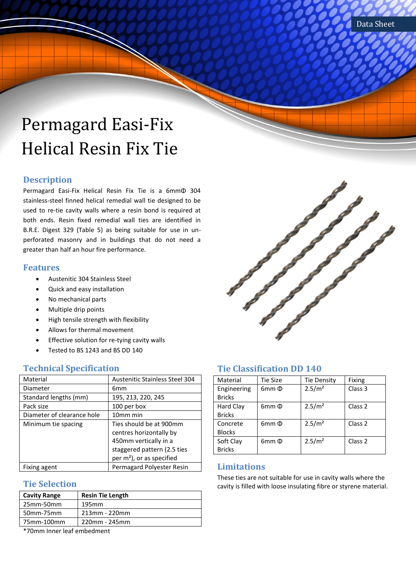# Permagard Easi-Fix Helical Resin Fix Tie

### **Description**

Permagard Easi-Fix Helical Resin Fix Tie is a 6mmΦ 304 stainless-steel finned helical remedial wall tie designed to be used to re-tie cavity walls where a resin bond is required at both ends. Resin fixed remedial wall ties are identified in B.R.E. Digest 329 (Table 5) as being suitable for use in unperforated masonry and in buildings that do not need a greater than half an hour fire performance.

#### **Features**

- Austenitic 304 Stainless Steel
- Quick and easy installation
- No mechanical parts
- Multiple drip points
- High tensile strength with flexibility
- Allows for thermal movement
- Effective solution for re-tying cavity walls
- Tested to BS 1243 and BS DD 140

#### **Technical Specification**

| Material                   | <b>Austenitic Stainless Steel 304</b> |
|----------------------------|---------------------------------------|
| Diameter                   | 6mm                                   |
| Standard lengths (mm)      | 195, 213, 220, 245                    |
| Pack size                  | 100 per box                           |
| Diameter of clearance hole | 10mm min                              |
| Minimum tie spacing        | Ties should be at 900mm               |
|                            | centres horizontally by               |
|                            | 450mm vertically in a                 |
|                            | staggered pattern (2.5 ties           |
|                            | per m <sup>2</sup> ), or as specified |
| Fixing agent               | Permagard Polyester Resin             |

### **Tie Selection**

| <b>Cavity Range</b>                                                                                                       | <b>Resin Tie Length</b> |
|---------------------------------------------------------------------------------------------------------------------------|-------------------------|
| 25mm-50mm                                                                                                                 | 195 <sub>mm</sub>       |
| 50mm-75mm                                                                                                                 | 213mm - 220mm           |
| 75mm-100mm                                                                                                                | 220mm - 245mm           |
| <u>в на политички продолжания с продолжания с продолжания с продолжания с продолжания с продолжания с продолжания с п</u> | _____                   |

\*70mm Inner leaf embedment



## **Tie Classification DD 140**

| Material      | Tie Size     | <b>Tie Density</b> | Fixing             |
|---------------|--------------|--------------------|--------------------|
| Engineering   | $6mm$ $\Phi$ | 2.5/m <sup>2</sup> | Class 3            |
| <b>Bricks</b> |              |                    |                    |
| Hard Clay     | $6mm$ $\Phi$ | 2.5/m <sup>2</sup> | Class <sub>2</sub> |
| <b>Bricks</b> |              |                    |                    |
| Concrete      | $6mm$ $\Phi$ | 2.5/m <sup>2</sup> | Class <sub>2</sub> |
| <b>Blocks</b> |              |                    |                    |
| Soft Clay     | $6mm$ $\Phi$ | 2.5/m <sup>2</sup> | Class <sub>2</sub> |
| <b>Bricks</b> |              |                    |                    |

#### **Limitations**

These ties are not suitable for use in cavity walls where the cavity is filled with loose insulating fibre or styrene material.